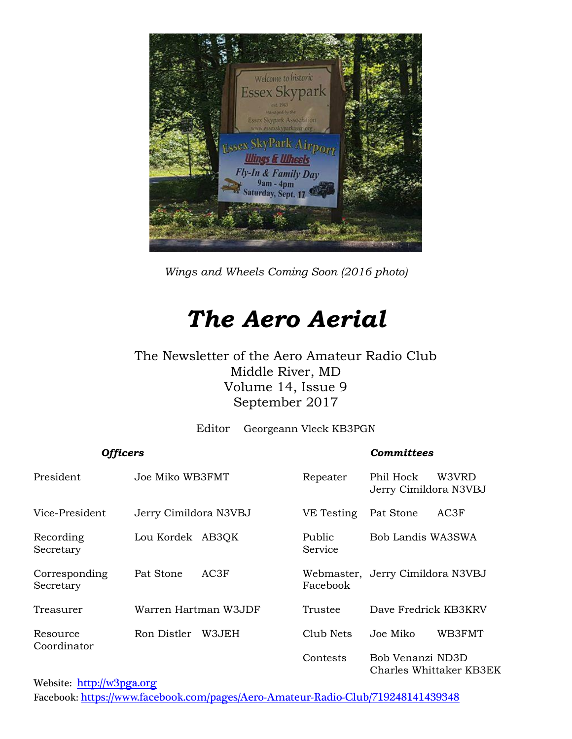

*Wings and Wheels Coming Soon (2016 photo)*

# *The Aero Aerial*

#### The Newsletter of the Aero Amateur Radio Club Middle River, MD Volume 14, Issue 9 September 2017

Editor Georgeann Vleck KB3PGN

| <b>Officers</b>            |                       |       |                   | <b>Committees</b>                  |                         |
|----------------------------|-----------------------|-------|-------------------|------------------------------------|-------------------------|
| President                  | Joe Miko WB3FMT       |       | Repeater          | Phil Hock<br>Jerry Cimildora N3VBJ | W3VRD                   |
| Vice-President             | Jerry Cimildora N3VBJ |       | VE Testing        | Pat Stone                          | AC3F                    |
| Recording<br>Secretary     | Lou Kordek AB3QK      |       | Public<br>Service | Bob Landis WA3SWA                  |                         |
| Corresponding<br>Secretary | Pat Stone             | AC3F  | Facebook          | Webmaster, Jerry Cimildora N3VBJ   |                         |
| Treasurer                  | Warren Hartman W3JDF  |       | Trustee           | Dave Fredrick KB3KRV               |                         |
| Resource<br>Coordinator    | Ron Distler           | W3JEH | Club Nets         | Joe Miko                           | WB3FMT                  |
|                            |                       |       | Contests          | Bob Venanzi ND3D                   | Charles Whittaker KB3EK |

Website: [http://w](http://home.comcast.net/~frank-stone/Aero%20ARC/aero.htm)3pga.org Facebook: <https://www.facebook.com/pages/Aero-Amateur-Radio-Club/719248141439348>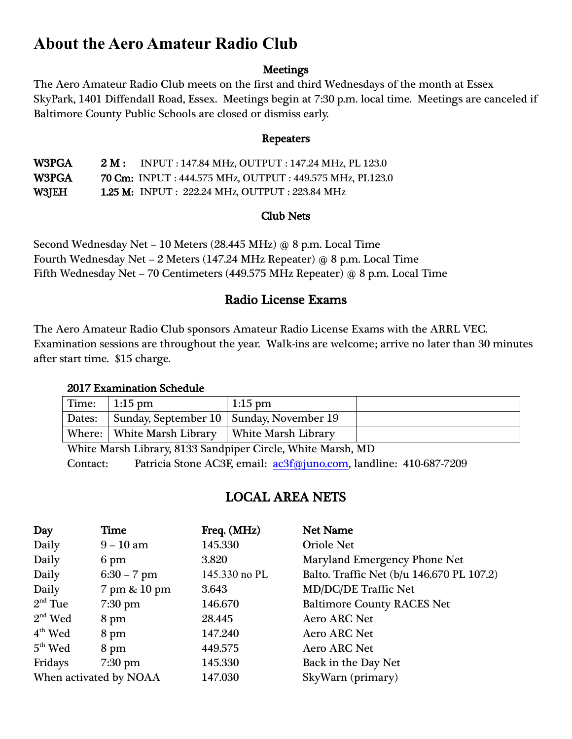### **About the Aero Amateur Radio Club**

#### **Meetings**

The Aero Amateur Radio Club meets on the first and third Wednesdays of the month at Essex SkyPark, 1401 Diffendall Road, Essex. Meetings begin at 7:30 p.m. local time. Meetings are canceled if Baltimore County Public Schools are closed or dismiss early.

#### Repeaters

W3PGA 2 M: INPUT : 147.84 MHz, OUTPUT : 147.24 MHz, PL 123.0 W3PGA 70 Cm: INPUT : 444.575 MHz, OUTPUT : 449.575 MHz, PL123.0 W3JEH 1.25 M: INPUT : 222.24 MHz, OUTPUT : 223.84 MHz

#### Club Nets

Second Wednesday Net – 10 Meters (28.445 MHz) @ 8 p.m. Local Time Fourth Wednesday Net – 2 Meters (147.24 MHz Repeater) @ 8 p.m. Local Time Fifth Wednesday Net – 70 Centimeters (449.575 MHz Repeater) @ 8 p.m. Local Time

#### Radio License Exams

The Aero Amateur Radio Club sponsors Amateur Radio License Exams with the ARRL VEC. Examination sessions are throughout the year. Walk-ins are welcome; arrive no later than 30 minutes after start time. \$15 charge.

#### 2017 Examination Schedule

| Time: | $\pm 1:15$ pm                                     | $1:15$ pm |  |
|-------|---------------------------------------------------|-----------|--|
|       | Dates: Sunday, September 10   Sunday, November 19 |           |  |
|       | Where: White Marsh Library   White Marsh Library  |           |  |

White Marsh Library, 8133 Sandpiper Circle, White Marsh, MD Contact: Patricia Stone AC3F, email: [ac3f@juno.com,](mailto:ac3f@juno.com) landline: 410-687-7209

#### LOCAL AREA NETS

| Day                    | Time          | Freq. (MHz)   | <b>Net Name</b>                           |
|------------------------|---------------|---------------|-------------------------------------------|
| Daily                  | $9 - 10$ am   | 145.330       | <b>Oriole Net</b>                         |
| Daily                  | 6 pm          | 3.820         | Maryland Emergency Phone Net              |
| Daily                  | $6:30 - 7$ pm | 145.330 no PL | Balto. Traffic Net (b/u 146.670 PL 107.2) |
| Daily                  | 7 pm & 10 pm  | 3.643         | <b>MD/DC/DE Traffic Net</b>               |
| $2nd$ Tue              | $7:30$ pm     | 146.670       | <b>Baltimore County RACES Net</b>         |
| $2nd$ Wed              | 8 pm          | 28.445        | <b>Aero ARC Net</b>                       |
| $4th$ Wed              | 8 pm          | 147.240       | <b>Aero ARC Net</b>                       |
| $5th$ Wed              | 8 pm          | 449.575       | <b>Aero ARC Net</b>                       |
| Fridays                | $7:30$ pm     | 145.330       | Back in the Day Net                       |
| When activated by NOAA |               | 147.030       | SkyWarn (primary)                         |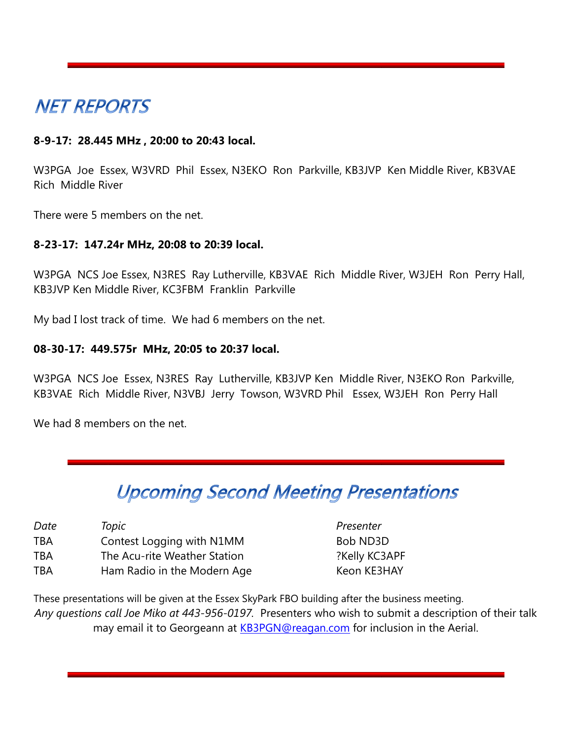# **NET REPORTS**

#### **8-9-17: 28.445 MHz , 20:00 to 20:43 local.**

W3PGA Joe Essex, W3VRD Phil Essex, N3EKO Ron Parkville, KB3JVP Ken Middle River, KB3VAE Rich Middle River

There were 5 members on the net.

#### **8-23-17: 147.24r MHz, 20:08 to 20:39 local.**

W3PGA NCS Joe Essex, N3RES Ray Lutherville, KB3VAE Rich Middle River, W3JEH Ron Perry Hall, KB3JVP Ken Middle River, KC3FBM Franklin Parkville

My bad I lost track of time. We had 6 members on the net.

#### **08-30-17: 449.575r MHz, 20:05 to 20:37 local.**

W3PGA NCS Joe Essex, N3RES Ray Lutherville, KB3JVP Ken Middle River, N3EKO Ron Parkville, KB3VAE Rich Middle River, N3VBJ Jerry Towson, W3VRD Phil Essex, W3JEH Ron Perry Hall

We had 8 members on the net.

# **Upcoming Second Meeting Presentations**

| Date       | Topic                        |
|------------|------------------------------|
| <b>TBA</b> | Contest Logging with N1MM    |
| <b>TBA</b> | The Acu-rite Weather Station |
| <b>TBA</b> | Ham Radio in the Modern Age  |

*Date Topic Presenter* Bob ND3D ?Kelly KC3APF Keon KE3HAY

These presentations will be given at the Essex SkyPark FBO building after the business meeting. *Any questions call Joe Miko at 443-956-0197.* Presenters who wish to submit a description of their talk may email it to Georgeann at **KB3PGN@reagan.com** for inclusion in the Aerial.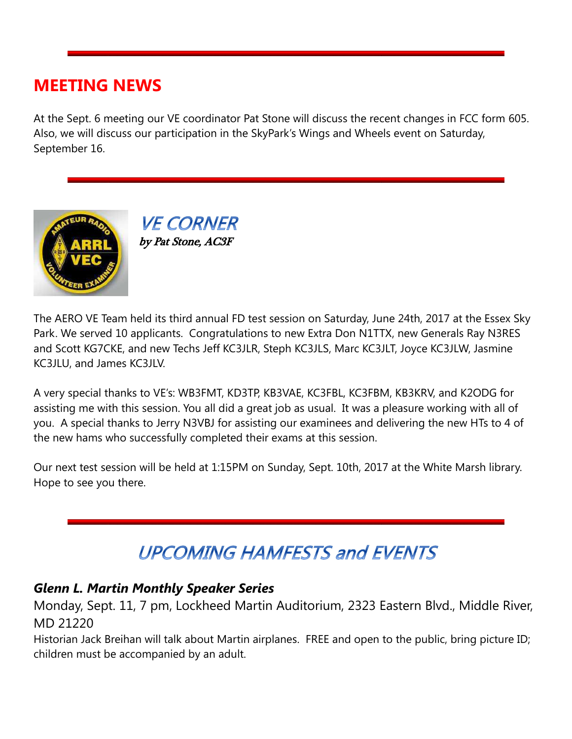## **MEETING NEWS**

At the Sept. 6 meeting our VE coordinator Pat Stone will discuss the recent changes in FCC form 605. Also, we will discuss our participation in the SkyPark's Wings and Wheels event on Saturday, September 16.



**VE CORNER** by Pat Stone, AC3F

The AERO VE Team held its third annual FD test session on Saturday, June 24th, 2017 at the Essex Sky Park. We served 10 applicants. Congratulations to new Extra Don N1TTX, new Generals Ray N3RES and Scott KG7CKE, and new Techs Jeff KC3JLR, Steph KC3JLS, Marc KC3JLT, Joyce KC3JLW, Jasmine KC3JLU, and James KC3JLV.

A very special thanks to VE's: WB3FMT, KD3TP, KB3VAE, KC3FBL, KC3FBM, KB3KRV, and K2ODG for assisting me with this session. You all did a great job as usual. It was a pleasure working with all of you. A special thanks to Jerry N3VBJ for assisting our examinees and delivering the new HTs to 4 of the new hams who successfully completed their exams at this session.

Our next test session will be held at 1:15PM on Sunday, Sept. 10th, 2017 at the White Marsh library. Hope to see you there.

# **UPCOMING HAMFESTS and EVENTS**

#### *Glenn L. Martin Monthly Speaker Series*

Monday, Sept. 11, 7 pm, Lockheed Martin Auditorium, 2323 Eastern Blvd., Middle River, MD 21220

Historian Jack Breihan will talk about Martin airplanes. FREE and open to the public, bring picture ID; children must be accompanied by an adult.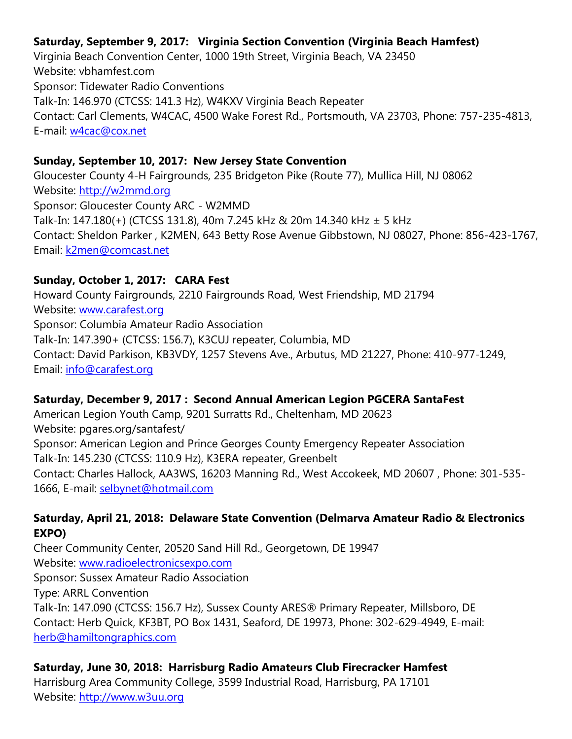#### **Saturday, September 9, 2017: Virginia Section Convention (Virginia Beach Hamfest)**

Virginia Beach Convention Center, 1000 19th Street, Virginia Beach, VA 23450 Website: vbhamfest.com Sponsor: Tidewater Radio Conventions Talk-In: 146.970 (CTCSS: 141.3 Hz), W4KXV Virginia Beach Repeater Contact: Carl Clements, W4CAC, 4500 Wake Forest Rd., Portsmouth, VA 23703, Phone: 757-235-4813, E-mail: [w4cac@cox.net](mailto:w4cac@cox.net)

#### **Sunday, September 10, 2017: New Jersey State Convention**

Gloucester County 4-H Fairgrounds, 235 Bridgeton Pike (Route 77), Mullica Hill, NJ 08062 Website: [http://w2mmd.org](http://w2mmd.org/) Sponsor: Gloucester County ARC - W2MMD Talk-In: 147.180(+) (CTCSS 131.8), 40m 7.245 kHz & 20m 14.340 kHz ± 5 kHz Contact: Sheldon Parker , K2MEN, 643 Betty Rose Avenue Gibbstown, NJ 08027, Phone: 856-423-1767, Email: [k2men@comcast.net](mailto:k2men@comcast.net)

#### **Sunday, October 1, 2017: CARA Fest**

Howard County Fairgrounds, 2210 Fairgrounds Road, West Friendship, MD 21794 Website: [www.carafest.org](http://www.carafest.org/) Sponsor: Columbia Amateur Radio Association Talk-In: 147.390+ (CTCSS: 156.7), K3CUJ repeater, Columbia, MD Contact: David Parkison, KB3VDY, 1257 Stevens Ave., Arbutus, MD 21227, Phone: 410-977-1249, Email: [info@carafest.org](mailto:info@carafest.org)

#### **Saturday, December 9, 2017 : Second Annual American Legion PGCERA SantaFest**

American Legion Youth Camp, 9201 Surratts Rd., Cheltenham, MD 20623 Website: pgares.org/santafest/ Sponsor: American Legion and Prince Georges County Emergency Repeater Association Talk-In: 145.230 (CTCSS: 110.9 Hz), K3ERA repeater, Greenbelt Contact: Charles Hallock, AA3WS, 16203 Manning Rd., West Accokeek, MD 20607 , Phone: 301-535- 1666, E-mail: [selbynet@hotmail.com](mailto:selbynet@hotmail.com)

#### **Saturday, April 21, 2018: Delaware State Convention (Delmarva Amateur Radio & Electronics EXPO)**

Cheer Community Center, 20520 Sand Hill Rd., Georgetown, DE 19947 Website: [www.radioelectronicsexpo.com](http://www.radioelectronicsexpo.com/) Sponsor: Sussex Amateur Radio Association Type: ARRL Convention Talk-In: 147.090 (CTCSS: 156.7 Hz), Sussex County ARES® Primary Repeater, Millsboro, DE Contact: Herb Quick, KF3BT, PO Box 1431, Seaford, DE 19973, Phone: 302-629-4949, E-mail: [herb@hamiltongraphics.com](mailto:herb@hamiltongraphics.com)

#### **Saturday, June 30, 2018: Harrisburg Radio Amateurs Club Firecracker Hamfest**

Harrisburg Area Community College, 3599 Industrial Road, Harrisburg, PA 17101 Website: [http://www.w3uu.org](http://www.w3uu.org/)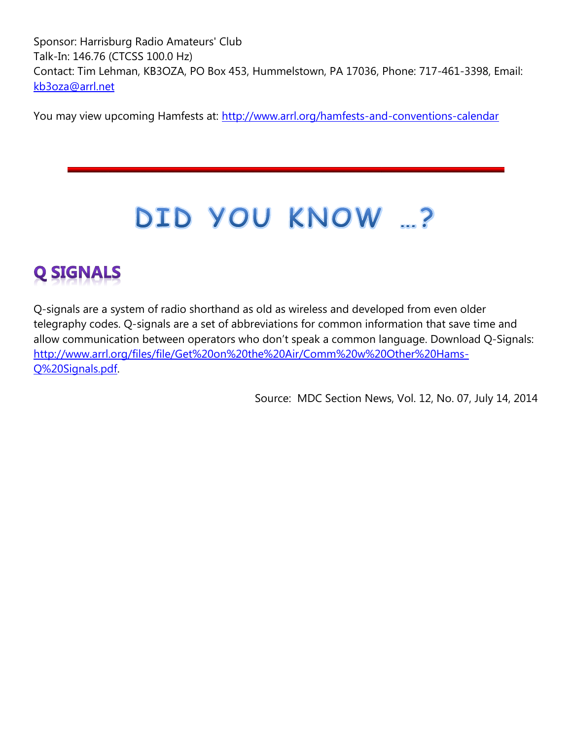Sponsor: Harrisburg Radio Amateurs' Club Talk-In: 146.76 (CTCSS 100.0 Hz) Contact: Tim Lehman, KB3OZA, PO Box 453, Hummelstown, PA 17036, Phone: 717-461-3398, Email: [kb3oza@arrl.net](mailto:kb3oza@arrl.net)

You may view upcoming Hamfests at:<http://www.arrl.org/hamfests-and-conventions-calendar>

# DID YOU KNOW ...?

# **Q SIGNALS**

Q-signals are a system of radio shorthand as old as wireless and developed from even older telegraphy codes. Q-signals are a set of abbreviations for common information that save time and allow communication between operators who don't speak a common language. Download Q-Signals: [http://www.arrl.org/files/file/Get%20on%20the%20Air/Comm%20w%20Other%20Hams-](http://www.arrl.org/files/file/Get%20on%20the%20Air/Comm%20w%20Other%20Hams-Q%20Signals.pdf)[Q%20Signals.pdf.](http://www.arrl.org/files/file/Get%20on%20the%20Air/Comm%20w%20Other%20Hams-Q%20Signals.pdf)

Source: MDC Section News, Vol. 12, No. 07, July 14, 2014